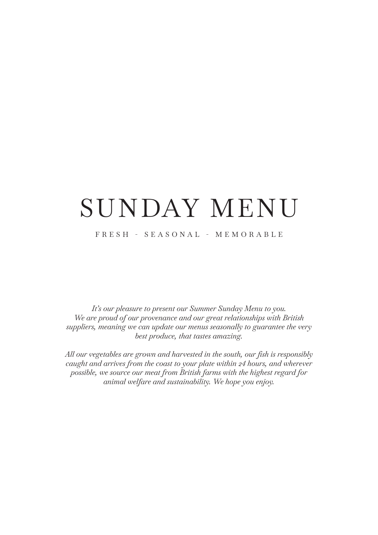# SUNDAY MENU

## FRESH - SEASONAL - MEMORABLE

*It's our pleasure to present our Summer Sunday Menu to you. We are proud of our provenance and our great relationships with British suppliers, meaning we can update our menus seasonally to guarantee the very best produce, that tastes amazing.* 

*All our vegetables are grown and harvested in the south, our fish is responsibly caught and arrives from the coast to your plate within 24 hours, and wherever possible, we source our meat from British farms with the highest regard for animal welfare and sustainability. We hope you enjoy.*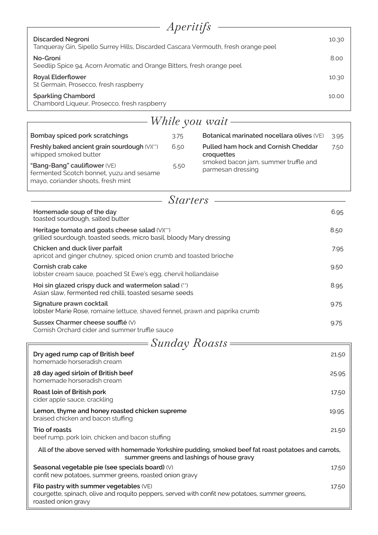| <i>Aperitifs</i>                                                                                               |       |  |  |  |
|----------------------------------------------------------------------------------------------------------------|-------|--|--|--|
| <b>Discarded Negroni</b><br>Tanqueray Gin, Sipello Surrey Hills, Discarded Cascara Vermouth, fresh orange peel | 10.30 |  |  |  |
| No-Groni<br>Seedlip Spice 94, Acorn Aromatic and Orange Bitters, fresh orange peel                             | 8.00  |  |  |  |
| <b>Royal Elderflower</b><br>St Germain, Prosecco, fresh raspberry                                              | 10.30 |  |  |  |
| <b>Sparkling Chambord</b><br>Chambord Liqueur, Prosecco, fresh raspberry                                       | 10.00 |  |  |  |

| While you wait                                                                                                        |                 |                                                           |      |  |
|-----------------------------------------------------------------------------------------------------------------------|-----------------|-----------------------------------------------------------|------|--|
| Bombay spiced pork scratchings                                                                                        | 3.75            | Botanical marinated nocellara olives (VE)                 | 3.95 |  |
| Freshly baked ancient grain sourdough (V)(**)<br>whipped smoked butter                                                | 6.50            | <b>Pulled ham hock and Cornish Cheddar</b><br>croquettes  | 7.50 |  |
| "Bang-Bang" cauliflower (VE)<br>fermented Scotch bonnet, yuzu and sesame<br>mayo, coriander shoots, fresh mint        | 5.50            | smoked bacon jam, summer truffle and<br>parmesan dressing |      |  |
|                                                                                                                       | <i>Starters</i> |                                                           |      |  |
| Homemade soup of the day<br>toasted sourdough, salted butter                                                          |                 |                                                           | 6.95 |  |
| Heritage tomato and goats cheese salad (V)(**)<br>grilled sourdough, toasted seeds, micro basil, bloody Mary dressing |                 |                                                           | 8.50 |  |
| Chicken and duck liver parfait<br>apricot and ginger chutney, spiced onion crumb and toasted brioche                  |                 |                                                           | 7.95 |  |
| Cornish crab cake<br>lobster cream sauce, poached St Ewe's egg, chervil hollandaise                                   |                 |                                                           |      |  |
| Hoi sin glazed crispy duck and watermelon salad (**)<br>Asian slaw, fermented red chilli, toasted sesame seeds        |                 |                                                           | 8.95 |  |
| Signature prawn cocktail<br>lobster Marie Rose, romaine lettuce, shaved fennel, prawn and paprika crumb               |                 |                                                           | 9.75 |  |
| Sussex Charmer cheese soufflé (V)<br>Cornish Orchard cider and summer truffle sauce                                   |                 |                                                           | 9.75 |  |
|                                                                                                                       |                 | = Sunday Roasts =                                         |      |  |

| $\omega$ <i>area<math>\alpha</math>y</i> <b>1</b> coable                                                                                                           |       |  |  |
|--------------------------------------------------------------------------------------------------------------------------------------------------------------------|-------|--|--|
| Dry aged rump cap of British beef<br>homemade horseradish cream                                                                                                    | 21.50 |  |  |
| 28 day aged sirloin of British beef<br>homemade horseradish cream                                                                                                  | 25.95 |  |  |
| Roast loin of British pork<br>cider apple sauce, crackling                                                                                                         | 17.50 |  |  |
| Lemon, thyme and honey roasted chicken supreme<br>braised chicken and bacon stuffing                                                                               | 19.95 |  |  |
| Trio of roasts<br>beef rump, pork loin, chicken and bacon stuffing                                                                                                 | 21.50 |  |  |
| All of the above served with homemade Yorkshire pudding, smoked beef fat roast potatoes and carrots,<br>summer greens and lashings of house gravy                  |       |  |  |
| Seasonal vegetable pie (see specials board) (V)<br>confit new potatoes, summer greens, roasted onion gravy                                                         | 17.50 |  |  |
| Filo pastry with summer vegetables $(VE)$<br>courgette, spinach, olive and roquito peppers, served with confit new potatoes, summer greens,<br>roasted onion gravy | 17.50 |  |  |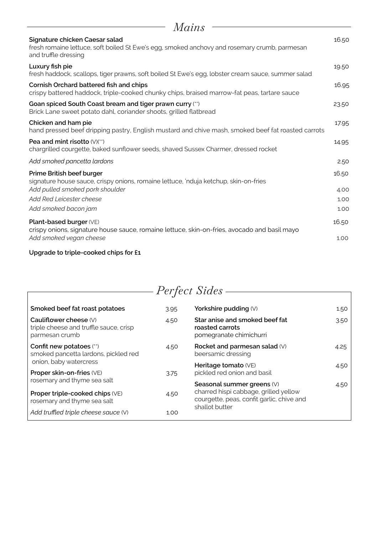| Mains                                                                                                                                                  |       |
|--------------------------------------------------------------------------------------------------------------------------------------------------------|-------|
| Signature chicken Caesar salad<br>fresh romaine lettuce, soft boiled St Ewe's egg, smoked anchovy and rosemary crumb, parmesan<br>and truffle dressing | 16.50 |
| Luxury fish pie<br>fresh haddock, scallops, tiger prawns, soft boiled St Ewe's egg, lobster cream sauce, summer salad                                  | 19.50 |
| Cornish Orchard battered fish and chips<br>crispy battered haddock, triple-cooked chunky chips, braised marrow-fat peas, tartare sauce                 | 16.95 |
| Goan spiced South Coast bream and tiger prawn curry (**)<br>Brick Lane sweet potato dahl, coriander shoots, grilled flatbread                          | 23.50 |
| Chicken and ham pie<br>hand pressed beef dripping pastry, English mustard and chive mash, smoked beef fat roasted carrots                              | 17.95 |
| Pea and mint risotto $(V)(**)$<br>chargrilled courgette, baked sunflower seeds, shaved Sussex Charmer, dressed rocket                                  | 14.95 |
| Add smoked pancetta lardons                                                                                                                            | 2.50  |
| Prime British beef burger<br>signature house sauce, crispy onions, romaine lettuce, 'nduja ketchup, skin-on-fries                                      | 16.50 |
| Add pulled smoked pork shoulder                                                                                                                        | 4.00  |
| Add Red Leicester cheese                                                                                                                               | 1.00  |
| Add smoked bacon jam                                                                                                                                   | 1.00  |
| Plant-based burger (VE)<br>crispy onions, signature house sauce, romaine lettuce, skin-on-fries, avocado and basil mayo                                | 16.50 |
| Add smoked vegan cheese                                                                                                                                | 1.00  |

## **Upgrade to triple-cooked chips for £1**

|                                                                                               |      | Perfect Sides                                                                                                    |      |
|-----------------------------------------------------------------------------------------------|------|------------------------------------------------------------------------------------------------------------------|------|
| Smoked beef fat roast potatoes                                                                | 3.95 | Yorkshire pudding (V)                                                                                            | 1.50 |
| Cauliflower cheese $(V)$<br>triple cheese and truffle sauce, crisp<br>parmesan crumb          | 4.50 | Star anise and smoked beef fat<br>roasted carrots<br>pomegranate chimichurri                                     | 3.50 |
| Confit new potatoes (**)<br>smoked pancetta lardons, pickled red                              | 4.50 | Rocket and parmesan salad (V)<br>beersamic dressing                                                              | 4.25 |
| onion, baby watercress<br>Proper skin-on-fries (VE)                                           | 3.75 | Heritage tomato (VE)<br>pickled red onion and basil                                                              | 4.50 |
| rosemary and thyme sea salt<br>Proper triple-cooked chips (VE)<br>rosemary and thyme sea salt | 4.50 | Seasonal summer greens (V)<br>charred hispi cabbage, grilled yellow<br>courgette, peas, confit garlic, chive and | 4.50 |
| Add truffled triple cheese sauce (V)                                                          | 1.00 | shallot butter                                                                                                   |      |